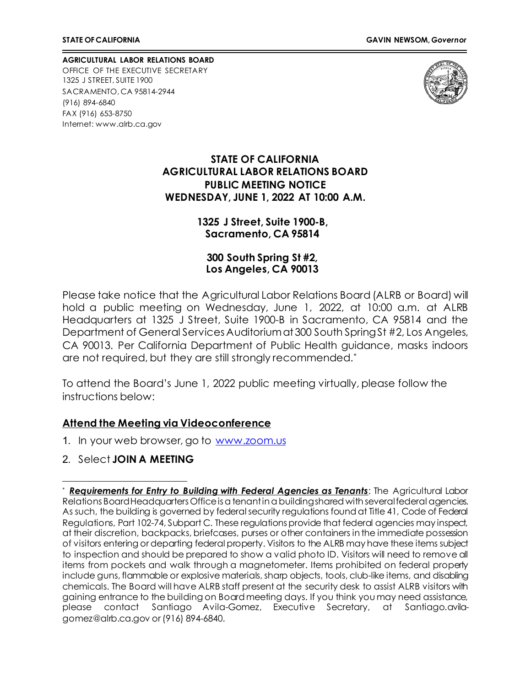**AGRICULTURAL LABOR RELATIONS BOARD** OFFICE OF THE EXECUTIVE SECRETARY 1325 J STREET, SUITE 1900 SACRAMENTO, CA 95814-2944 (916) 894-6840 FAX (916) 653-8750 Internet[: www.alrb.ca.gov](http://www.alrb.ca.gov/)



## **STATE OF CALIFORNIA AGRICULTURAL LABOR RELATIONS BOARD PUBLIC MEETING NOTICE WEDNESDAY, JUNE 1, 2022 AT 10:00 A.M.**

## **1325 J Street, Suite 1900-B, Sacramento, CA 95814**

**300 South Spring St #2, Los Angeles, CA 90013**

Please take notice that the Agricultural Labor Relations Board (ALRB or Board) will hold a public meeting on Wednesday, June 1, 2022, at 10:00 a.m. at ALRB Headquarters at 1325 J Street, Suite 1900-B in Sacramento, CA 95814 and the Department of General Services Auditorium at 300 South Spring St #2, Los Angeles, CA 90013. Per California Department of Public Health guidance, masks indoors are not required, but they are still strongly recommended.[\\*](#page-0-0)

To attend the Board's June 1, 2022 public meeting virtually, please follow the instructions below:

## **Attend the Meeting via Videoconference**

- 1. In your web browser, go to [www.zoom.us](http://www.zoom.us/)
- 2. Select **JOIN A MEETING**

<span id="page-0-0"></span>**Requirements for Entry to Building with Federal Agencies as Tenants:** The Agricultural Labor Relations Board Headquarters Office is a tenant in a building shared with several federal agencies. As such, the building is governed by federal security regulations found at Title 41, Code of Federal Regulations, Part 102-74, Subpart C. These regulations provide that federal agencies may inspect, at their discretion, backpacks, briefcases, purses or other containers in the immediate possession of visitors entering or departing federal property. Visitors to the ALRB may have these items subject to inspection and should be prepared to show a valid photo ID. Visitors will need to remove all items from pockets and walk through a magnetometer. Items prohibited on federal property include guns, flammable or explosive materials, sharp objects, tools, club-like items, and disabling chemicals. The Board will have ALRB staff present at the security desk to assist ALRB visitors with gaining entrance to the building on Board meeting days. If you think you may need assistance, please contact Santiago Avila-Gomez, Executive Secretary, at Santiago.avilagomez@alrb.ca.gov or (916) 894-6840.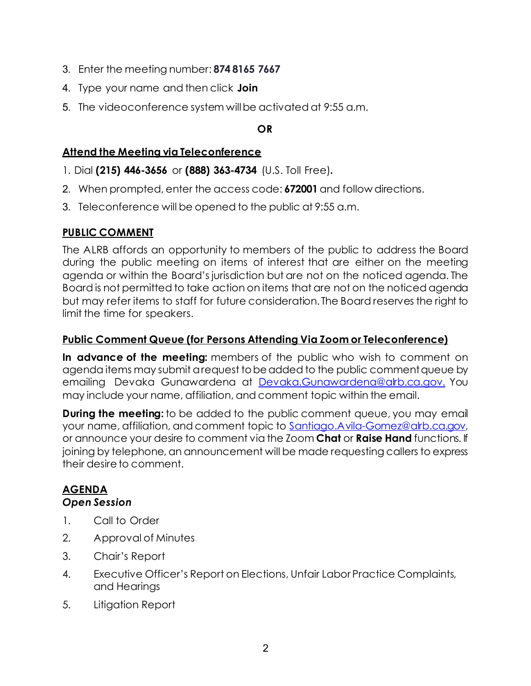- 3. Enter the meeting number: **874 8165 7667**
- 4. Type your name and then click **Join**
- 5. The videoconference system willbe activated at 9:55 a.m.

## **OR**

# **Attend the Meeting via Teleconference**

- 1. Dial **(215) 446-3656** or **(888) 363-4734** (U.S. Toll Free)**.**
- 2. When prompted, enter the access code: **672001** and follow directions.
- 3. Teleconference will be opened to the public at 9:55 a.m.

# **PUBLIC COMMENT**

The ALRB affords an opportunity to members of the public to address the Board during the public meeting on items of interest that are either on the meeting agenda or within the Board's jurisdiction but are not on the noticed agenda. The Board is not permitted to take action on items that are not on the noticed agenda but may refer items to staff for future consideration. The Board reserves the right to limit the time for speakers.

# **Public Comment Queue (for Persons Attending Via Zoom or Teleconference)**

**In advance of the meeting:** members of the public who wish to comment on agenda items may submit a request to be added to the public comment queue by emailing Devaka Gunawardena at [Devaka.Gunawardena@alrb.ca.gov.](mailto:Devaka.Gunawardena@alrb.ca.gov.) You may include your name, affiliation, and comment topic within the email.

**During the meeting:** to be added to the public comment queue, you may email your name, affiliation, and comment topic to [Santiago.Avila-Gomez@alrb.ca.gov,](mailto:Santiago.Avila-Gomez@alrb.ca.gov) or announce your desire to comment via the Zoom **Chat** or **Raise Hand** functions. If joining by telephone, an announcement will be made requesting callers to express their desire to comment.

## **AGENDA** *Open Session*

- 1. Call to Order
- 2. Approval of Minutes
- 3. Chair's Report
- 4. Executive Officer's Report on Elections, Unfair Labor Practice Complaints, and Hearings
- 5. Litigation Report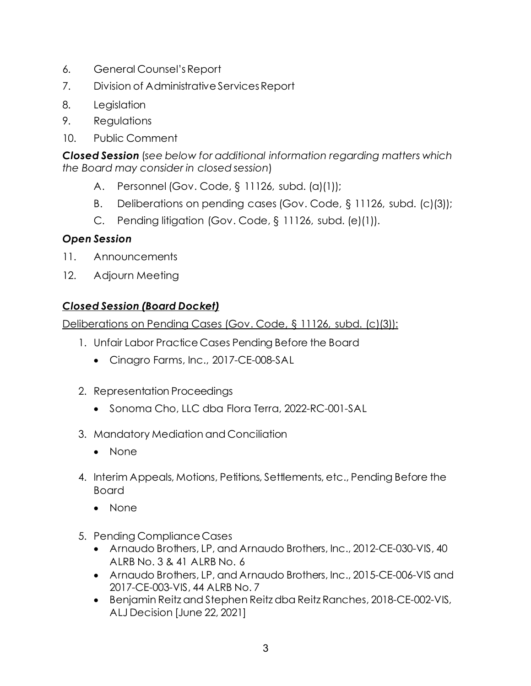- 6. General Counsel'sReport
- 7. Division of Administrative ServicesReport
- 8. Legislation
- 9. Regulations
- 10. Public Comment

*Closed Session* (*see below for additional information regarding matters which the Board may consider in closed session*)

- A. Personnel (Gov. Code, § 11126, subd. (a)(1));
- B. Deliberations on pending cases (Gov. Code, § 11126, subd. (c)(3));
- C. Pending litigation (Gov. Code, § 11126, subd. (e)(1)).

# *Open Session*

- 11. Announcements
- 12. Adjourn Meeting

## *Closed Session (Board Docket)*

Deliberations on Pending Cases (Gov. Code, § 11126, subd. (c)(3)):

- 1. Unfair Labor Practice Cases Pending Before the Board
	- Cinagro Farms, Inc., 2017-CE-008-SAL
- 2. Representation Proceedings
	- Sonoma Cho, LLC dba Flora Terra, 2022-RC-001-SAL
- 3. Mandatory Mediation and Conciliation
	- None
- 4. Interim Appeals, Motions, Petitions, Settlements, etc., Pending Before the Board
	- None
- 5. Pending Compliance Cases
	- Arnaudo Brothers, LP, and Arnaudo Brothers, Inc., 2012-CE-030-VIS, 40 ALRB No. 3 & 41 ALRB No. 6
	- Arnaudo Brothers, LP, and Arnaudo Brothers, Inc., 2015-CE-006-VIS and 2017-CE-003-VIS, 44 ALRB No. 7
	- Benjamin Reitz and Stephen Reitz dba Reitz Ranches, 2018-CE-002-VIS, ALJ Decision [June 22, 2021]